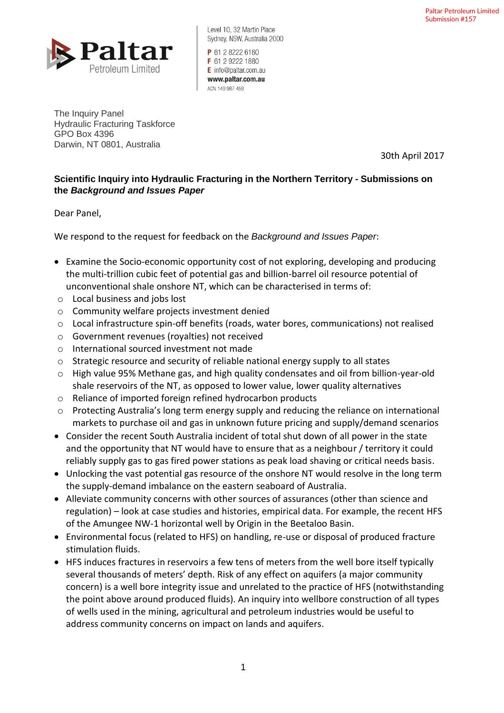

Level 10, 32 Martin Place Sydney, NSW, Australia 2000

P 61 2 8222 6160 F 61 2 9222 1880 E info@paltar.com.au www.paltar.com.au ACN 149 987 459

The Inquiry Panel Hydraulic Fracturing Taskforce GPO Box 4396 Darwin, NT 0801, Australia

30th April 2017

## **Scientific Inquiry into Hydraulic Fracturing in the Northern Territory - Submissions on the** *Background and Issues Paper*

Dear Panel,

We respond to the request for feedback on the *Background and Issues Paper*:

- Examine the Socio-economic opportunity cost of not exploring, developing and producing the multi-trillion cubic feet of potential gas and billion-barrel oil resource potential of unconventional shale onshore NT, which can be characterised in terms of:
- o Local business and jobs lost
- o Community welfare projects investment denied
- o Local infrastructure spin-off benefits (roads, water bores, communications) not realised
- o Government revenues (royalties) not received
- o International sourced investment not made
- o Strategic resource and security of reliable national energy supply to all states
- o High value 95% Methane gas, and high quality condensates and oil from billion-year-old shale reservoirs of the NT, as opposed to lower value, lower quality alternatives
- o Reliance of imported foreign refined hydrocarbon products
- o Protecting Australia's long term energy supply and reducing the reliance on international markets to purchase oil and gas in unknown future pricing and supply/demand scenarios
- Consider the recent South Australia incident of total shut down of all power in the state and the opportunity that NT would have to ensure that as a neighbour / territory it could reliably supply gas to gas fired power stations as peak load shaving or critical needs basis.
- Unlocking the vast potential gas resource of the onshore NT would resolve in the long term the supply-demand imbalance on the eastern seaboard of Australia.
- Alleviate community concerns with other sources of assurances (other than science and regulation) – look at case studies and histories, empirical data. For example, the recent HFS of the Amungee NW-1 horizontal well by Origin in the Beetaloo Basin.
- Environmental focus (related to HFS) on handling, re-use or disposal of produced fracture stimulation fluids.
- HFS induces fractures in reservoirs a few tens of meters from the well bore itself typically several thousands of meters' depth. Risk of any effect on aquifers (a major community concern) is a well bore integrity issue and unrelated to the practice of HFS (notwithstanding the point above around produced fluids). An inquiry into wellbore construction of all types of wells used in the mining, agricultural and petroleum industries would be useful to address community concerns on impact on lands and aquifers.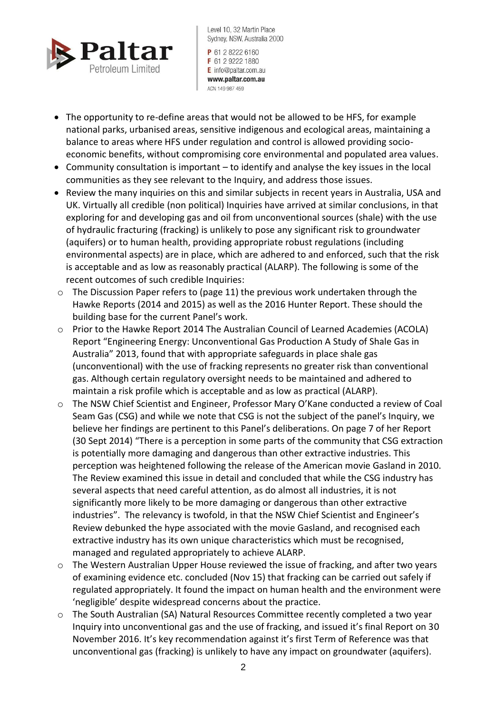

Level 10, 32 Martin Place Sydney, NSW, Australia 2000 P 61 2 8222 6160 F 61 2 9222 1880 E info@paltar.com.au

www.paltar.com.au ACN 149 987 459

- The opportunity to re-define areas that would not be allowed to be HFS, for example national parks, urbanised areas, sensitive indigenous and ecological areas, maintaining a balance to areas where HFS under regulation and control is allowed providing socioeconomic benefits, without compromising core environmental and populated area values.
- Community consultation is important to identify and analyse the key issues in the local communities as they see relevant to the Inquiry, and address those issues.
- Review the many inquiries on this and similar subjects in recent years in Australia, USA and UK. Virtually all credible (non political) Inquiries have arrived at similar conclusions, in that exploring for and developing gas and oil from unconventional sources (shale) with the use of hydraulic fracturing (fracking) is unlikely to pose any significant risk to groundwater (aquifers) or to human health, providing appropriate robust regulations (including environmental aspects) are in place, which are adhered to and enforced, such that the risk is acceptable and as low as reasonably practical (ALARP). The following is some of the recent outcomes of such credible Inquiries:
- o The Discussion Paper refers to (page 11) the previous work undertaken through the Hawke Reports (2014 and 2015) as well as the 2016 Hunter Report. These should the building base for the current Panel's work.
- o Prior to the Hawke Report 2014 The Australian Council of Learned Academies (ACOLA) Report "Engineering Energy: Unconventional Gas Production A Study of Shale Gas in Australia" 2013, found that with appropriate safeguards in place shale gas (unconventional) with the use of fracking represents no greater risk than conventional gas. Although certain regulatory oversight needs to be maintained and adhered to maintain a risk profile which is acceptable and as low as practical (ALARP).
- o The NSW Chief Scientist and Engineer, Professor Mary O'Kane conducted a review of Coal Seam Gas (CSG) and while we note that CSG is not the subject of the panel's Inquiry, we believe her findings are pertinent to this Panel's deliberations. On page 7 of her Report (30 Sept 2014) "There is a perception in some parts of the community that CSG extraction is potentially more damaging and dangerous than other extractive industries. This perception was heightened following the release of the American movie Gasland in 2010. The Review examined this issue in detail and concluded that while the CSG industry has several aspects that need careful attention, as do almost all industries, it is not significantly more likely to be more damaging or dangerous than other extractive industries". The relevancy is twofold, in that the NSW Chief Scientist and Engineer's Review debunked the hype associated with the movie Gasland, and recognised each extractive industry has its own unique characteristics which must be recognised, managed and regulated appropriately to achieve ALARP.
- $\circ$  The Western Australian Upper House reviewed the issue of fracking, and after two years of examining evidence etc. concluded (Nov 15) that fracking can be carried out safely if regulated appropriately. It found the impact on human health and the environment were 'negligible' despite widespread concerns about the practice.
- o The South Australian (SA) Natural Resources Committee recently completed a two year Inquiry into unconventional gas and the use of fracking, and issued it's final Report on 30 November 2016. It's key recommendation against it's first Term of Reference was that unconventional gas (fracking) is unlikely to have any impact on groundwater (aquifers).